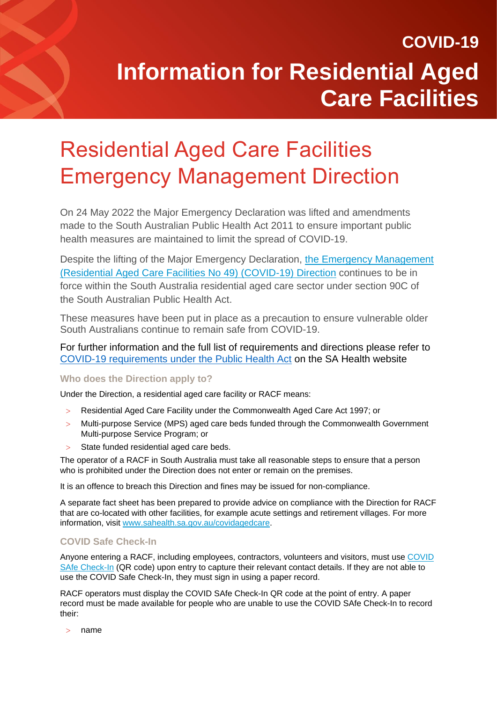### Residential Aged Care Facilities Emergency Management Direction

On 24 May 2022 the Major Emergency Declaration was lifted and amendments made to the [South Australian Public Health Act 2011](https://www.sahealth.sa.gov.au/wps/wcm/connect/public+content/sa+health+internet/about+us/legislation/public+health+act/public+health+act) to ensure important public health measures are maintained to limit the spread of COVID-19.

Despite the lifting of the Major Emergency Declaration, [the Emergency Management](https://www.covid-19.sa.gov.au/emergency-declarations/aged-care)  [\(Residential Aged Care Facilities No 49\) \(COVID-19\) Direction](https://www.covid-19.sa.gov.au/emergency-declarations/aged-care) continues to be in force within the South Australia residential aged care sector under section 90C of the South Australian Public Health Act.

These measures have been put in place as a precaution to ensure vulnerable older South Australians continue to remain safe from COVID-19.

For further information and the full list of requirements and directions please refer to [COVID-19 requirements under the Public Health Act](https://www.sahealth.sa.gov.au/wps/wcm/connect/public+content/sa+health+internet/conditions/infectious+diseases/covid-19/response+and+restrictions/sa+health+response) on the SA Health website

### **Who does the Direction apply to?**

Under the Direction, a residential aged care facility or RACF means:

- Residential Aged Care Facility under the Commonwealth Aged Care Act 1997; or
- Multi-purpose Service (MPS) aged care beds funded through the Commonwealth Government Multi-purpose Service Program; or
- State funded residential aged care beds.

The operator of a RACF in South Australia must take all reasonable steps to ensure that a person who is prohibited under the Direction does not enter or remain on the premises.

It is an offence to breach this Direction and fines may be issued for non-compliance.

A separate fact sheet has been prepared to provide advice on compliance with the Direction for RACF that are co-located with other facilities, for example acute settings and retirement villages. For more information, visit [www.sahealth.sa.gov.au/covidagedcare.](http://www.sahealth.sa.gov.au/covidagedcare)

### **COVID Safe Check-In**

Anyone entering a RACF, including employees, contractors, volunteers and visitors, must use [COVID](https://www.covid-19.sa.gov.au/restrictions-and-responsibilities/covid-safe-check-in)  [SAfe Check-In](https://www.covid-19.sa.gov.au/restrictions-and-responsibilities/covid-safe-check-in) (QR code) upon entry to capture their relevant contact details. If they are not able to use the COVID Safe Check-In, they must sign in using a paper record.

RACF operators must display the COVID SAfe Check-In QR code at the point of entry. A paper record must be made available for people who are unable to use the COVID SAfe Check-In to record their:

name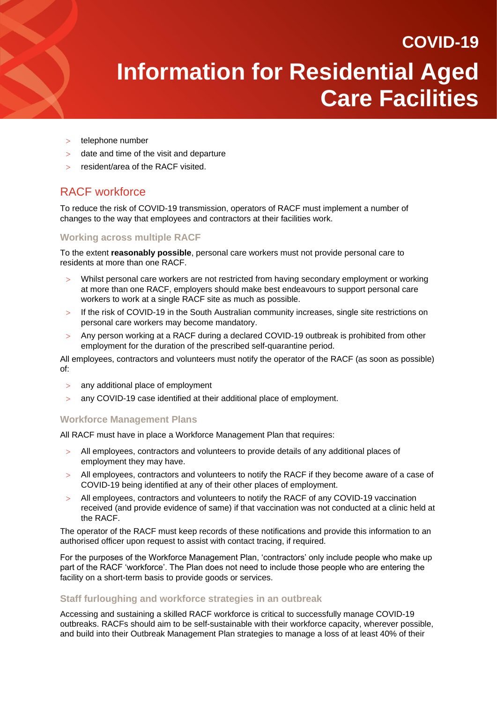> telephone number

- date and time of the visit and departure
- resident/area of the RACF visited.

### RACF workforce

To reduce the risk of COVID-19 transmission, operators of RACF must implement a number of changes to the way that employees and contractors at their facilities work.

### **Working across multiple RACF**

To the extent **reasonably possible**, personal care workers must not provide personal care to residents at more than one RACF.

- Whilst personal care workers are not restricted from having secondary employment or working at more than one RACF, employers should make best endeavours to support personal care workers to work at a single RACF site as much as possible.
- > If the risk of COVID-19 in the South Australian community increases, single site restrictions on personal care workers may become mandatory.
- Any person working at a RACF during a declared COVID-19 outbreak is prohibited from other employment for the duration of the prescribed self-quarantine period.

All employees, contractors and volunteers must notify the operator of the RACF (as soon as possible) of:

- any additional place of employment
- any COVID-19 case identified at their additional place of employment.

#### **Workforce Management Plans**

All RACF must have in place a Workforce Management Plan that requires:

- All employees, contractors and volunteers to provide details of any additional places of employment they may have.
- All employees, contractors and volunteers to notify the RACF if they become aware of a case of COVID-19 being identified at any of their other places of employment.
- All employees, contractors and volunteers to notify the RACF of any COVID-19 vaccination received (and provide evidence of same) if that vaccination was not conducted at a clinic held at the RACF.

The operator of the RACF must keep records of these notifications and provide this information to an authorised officer upon request to assist with contact tracing, if required.

For the purposes of the Workforce Management Plan, 'contractors' only include people who make up part of the RACF 'workforce'. The Plan does not need to include those people who are entering the facility on a short-term basis to provide goods or services.

#### **Staff furloughing and workforce strategies in an outbreak**

Accessing and sustaining a skilled RACF workforce is critical to successfully manage COVID-19 outbreaks. RACFs should aim to be self-sustainable with their workforce capacity, wherever possible, and build into their Outbreak Management Plan strategies to manage a loss of at least 40% of their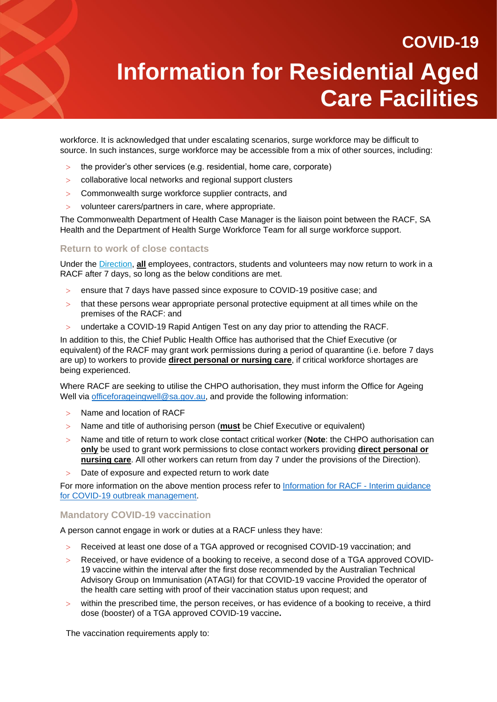workforce. It is acknowledged that under escalating scenarios, surge workforce may be difficult to source. In such instances, surge workforce may be accessible from a mix of other sources, including:

- $>$  the provider's other services (e.g. residential, home care, corporate)
- collaborative local networks and regional support clusters
- > Commonwealth surge workforce supplier contracts, and
- volunteer carers/partners in care, where appropriate.

The Commonwealth Department of Health Case Manager is the liaison point between the RACF, SA Health and the Department of Health Surge Workforce Team for all surge workforce support.

### **Return to work of close contacts**

Under the [Direction,](https://www.covid-19.sa.gov.au/emergency-declarations/aged-care) **all** employees, contractors, students and volunteers may now return to work in a RACF after 7 days, so long as the below conditions are met.

- ensure that 7 days have passed since exposure to COVID-19 positive case; and
- that these persons wear appropriate personal protective equipment at all times while on the premises of the RACF: and
- undertake a COVID-19 Rapid Antigen Test on any day prior to attending the RACF.

In addition to this, the Chief Public Health Office has authorised that the Chief Executive (or equivalent) of the RACF may grant work permissions during a period of quarantine (i.e. before 7 days are up) to workers to provide **direct personal or nursing care**, if critical workforce shortages are being experienced.

Where RACF are seeking to utilise the CHPO authorisation, they must inform the Office for Ageing Well via [officeforageingwell@sa.gov.au,](mailto:officeforageingwell@sa.gov.au) and provide the following information:

- > Name and location of RACF
- Name and title of authorising person (**must** be Chief Executive or equivalent)
- Name and title of return to work close contact critical worker (**Note**: the CHPO authorisation can **only** be used to grant work permissions to close contact workers providing **direct personal or nursing care**. All other workers can return from day 7 under the provisions of the Direction).
- Date of exposure and expected return to work date

For more information on the above mention process refer to [Information for RACF -](https://www.sahealth.sa.gov.au/wps/wcm/connect/eb833a9a-8fff-4ce2-a480-03ffb3425715/20220120+Residential+Aged+Care+Facilities+Plan+January+22.pdf?MOD=AJPERES&CACHEID=ROOTWORKSPACE-eb833a9a-8fff-4ce2-a480-03ffb3425715-nVS6UTm) Interim guidance [for COVID-19 outbreak management.](https://www.sahealth.sa.gov.au/wps/wcm/connect/eb833a9a-8fff-4ce2-a480-03ffb3425715/20220120+Residential+Aged+Care+Facilities+Plan+January+22.pdf?MOD=AJPERES&CACHEID=ROOTWORKSPACE-eb833a9a-8fff-4ce2-a480-03ffb3425715-nVS6UTm)

### **Mandatory COVID-19 vaccination**

A person cannot engage in work or duties at a RACF unless they have:

- Received at least one dose of a TGA approved or recognised COVID-19 vaccination; and
- Received, or have evidence of a booking to receive, a second dose of a TGA approved COVID-19 vaccine within the interval after the first dose recommended by the Australian Technical Advisory Group on Immunisation (ATAGI) for that COVID-19 vaccine Provided the operator of the health care setting with proof of their vaccination status upon request; and
- within the prescribed time, the person receives, or has evidence of a booking to receive, a third dose (booster) of a TGA approved COVID-19 vaccine**.**

The vaccination requirements apply to: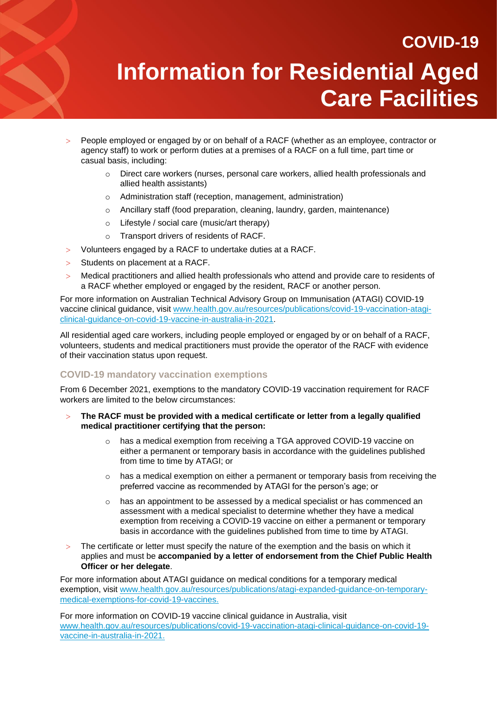- People employed or engaged by or on behalf of a RACF (whether as an employee, contractor or agency staff) to work or perform duties at a premises of a RACF on a full time, part time or casual basis, including:
	- $\circ$  Direct care workers (nurses, personal care workers, allied health professionals and allied health assistants)
	- o Administration staff (reception, management, administration)
	- o Ancillary staff (food preparation, cleaning, laundry, garden, maintenance)
	- o Lifestyle / social care (music/art therapy)
	- o Transport drivers of residents of RACF.
- Volunteers engaged by a RACF to undertake duties at a RACF.
- $>$  Students on placement at a RACF.

 Medical practitioners and allied health professionals who attend and provide care to residents of a RACF whether employed or engaged by the resident, RACF or another person.

For more information on Australian Technical Advisory Group on Immunisation (ATAGI) COVID-19 vaccine clinical guidance, visit [www.health.gov.au/resources/publications/covid-19-vaccination-atagi](http://www.health.gov.au/resources/publications/covid-19-vaccination-atagi-clinical-guidance-on-covid-19-vaccine-in-australia-in-2021)[clinical-guidance-on-covid-19-vaccine-in-australia-in-2021.](http://www.health.gov.au/resources/publications/covid-19-vaccination-atagi-clinical-guidance-on-covid-19-vaccine-in-australia-in-2021)

All residential aged care workers, including people employed or engaged by or on behalf of a RACF, volunteers, students and medical practitioners must provide the operator of the RACF with evidence of their vaccination status upon request.

### **COVID-19 mandatory vaccination exemptions**

From 6 December 2021, exemptions to the mandatory COVID-19 vaccination requirement for RACF workers are limited to the below circumstances:

- **The RACF must be provided with a medical certificate or letter from a legally qualified medical practitioner certifying that the person:** 
	- o has a medical exemption from receiving a TGA approved COVID-19 vaccine on either a permanent or temporary basis in accordance with the guidelines published from time to time by ATAGI; or
	- $\circ$  has a medical exemption on either a permanent or temporary basis from receiving the preferred vaccine as recommended by ATAGI for the person's age; or
	- $\circ$  has an appointment to be assessed by a medical specialist or has commenced an assessment with a medical specialist to determine whether they have a medical exemption from receiving a COVID-19 vaccine on either a permanent or temporary basis in accordance with the guidelines published from time to time by ATAGI.
- The certificate or letter must specify the nature of the exemption and the basis on which it applies and must be **accompanied by a letter of endorsement from the Chief Public Health Officer or her delegate**.

For more information about ATAGI guidance on medical conditions for a temporary medical exemption, visit [www.health.gov.au/resources/publications/atagi-expanded-guidance-on-temporary](https://www.health.gov.au/resources/publications/atagi-expanded-guidance-on-temporary-medical-exemptions-for-covid-19-vaccines)[medical-exemptions-for-covid-19-vaccines.](https://www.health.gov.au/resources/publications/atagi-expanded-guidance-on-temporary-medical-exemptions-for-covid-19-vaccines)

For more information on COVID-19 vaccine clinical guidance in Australia, visit [www.health.gov.au/resources/publications/covid-19-vaccination-atagi-clinical-guidance-on-covid-19](http://www.health.gov.au/resources/publications/covid-19-vaccination-atagi-clinical-guidance-on-covid-19-vaccine-in-australia-in-2021) [vaccine-in-australia-in-2021.](http://www.health.gov.au/resources/publications/covid-19-vaccination-atagi-clinical-guidance-on-covid-19-vaccine-in-australia-in-2021)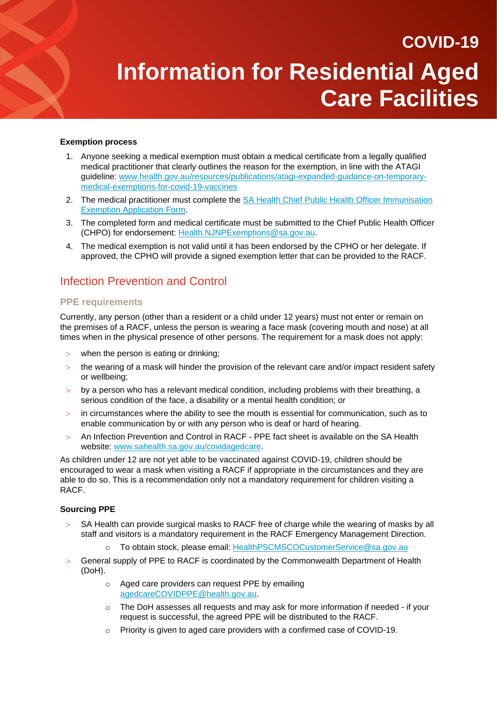#### **Exemption process**

 $\blacktriangleleft$ 

- 1. Anyone seeking a medical exemption must obtain a medical certificate from a legally qualified medical practitioner that clearly outlines the reason for the exemption, in line with the ATAGI guideline: [www.health.gov.au/resources/publications/atagi-expanded-guidance-on-temporary](http://www.health.gov.au/resources/publications/atagi-expanded-guidance-on-temporary-medical-exemptions-for-covid-19-vaccines)[medical-exemptions-for-covid-19-vaccines](http://www.health.gov.au/resources/publications/atagi-expanded-guidance-on-temporary-medical-exemptions-for-covid-19-vaccines)
- 2. The medical practitioner must complete the [SA Health Chief Public Health Officer Immunisation](https://www.covid-19.sa.gov.au/__data/assets/pdf_file/0004/482143/21022.29-COVID-immunisation-exemption-application-form-V2.pdf)  [Exemption Application Form.](https://www.covid-19.sa.gov.au/__data/assets/pdf_file/0004/482143/21022.29-COVID-immunisation-exemption-application-form-V2.pdf)
- 3. The completed form and medical certificate must be submitted to the Chief Public Health Officer (CHPO) for endorsement: [Health.NJNPExemptions@sa.gov.au.](mailto:Health.NJNPExemptions@sa.gov.au)
- 4. The medical exemption is not valid until it has been endorsed by the CPHO or her delegate. If approved, the CPHO will provide a signed exemption letter that can be provided to the RACF.

### Infection Prevention and Control

### **PPE requirements**

Currently, any person (other than a resident or a child under 12 years) must not enter or remain on the premises of a RACF, unless the person is wearing a face mask (covering mouth and nose) at all times when in the physical presence of other persons. The requirement for a mask does not apply:

- when the person is eating or drinking:
- $>$  the wearing of a mask will hinder the provision of the relevant care and/or impact resident safety or wellbeing;
- $>$  by a person who has a relevant medical condition, including problems with their breathing, a serious condition of the face, a disability or a mental health condition; or
- $\geq$  in circumstances where the ability to see the mouth is essential for communication, such as to enable communication by or with any person who is deaf or hard of hearing.
- An Infection Prevention and Control in RACF PPE fact sheet is available on the SA Health website: [www.sahealth.sa.gov.au/covidagedcare.](http://www.sahealth.sa.gov.au/covidagedcare)

As children under 12 are not yet able to be vaccinated against COVID-19, children should be encouraged to wear a mask when visiting a RACF if appropriate in the circumstances and they are able to do so. This is a recommendation only not a mandatory requirement for children visiting a RACF.

#### **Sourcing PPE**

- $>$  SA Health can provide surgical masks to RACF free of charge while the wearing of masks by all staff and visitors is a mandatory requirement in the RACF Emergency Management Direction.
	- o To obtain stock, please email: [HealthPSCMSCOCustomerService@sa.gov.au](mailto:HealthPSCMSCOCustomerService@sa.gov.au)
- General supply of PPE to RACF is coordinated by the Commonwealth Department of Health (DoH).
	- o Aged care providers can request PPE by emailing [agedcareCOVIDPPE@health.gov.au.](mailto:agedcareCOVIDPPE@health.gov.au)
	- $\circ$  The DoH assesses all requests and may ask for more information if needed if your request is successful, the agreed PPE will be distributed to the RACF.
	- o Priority is given to aged care providers with a confirmed case of COVID-19.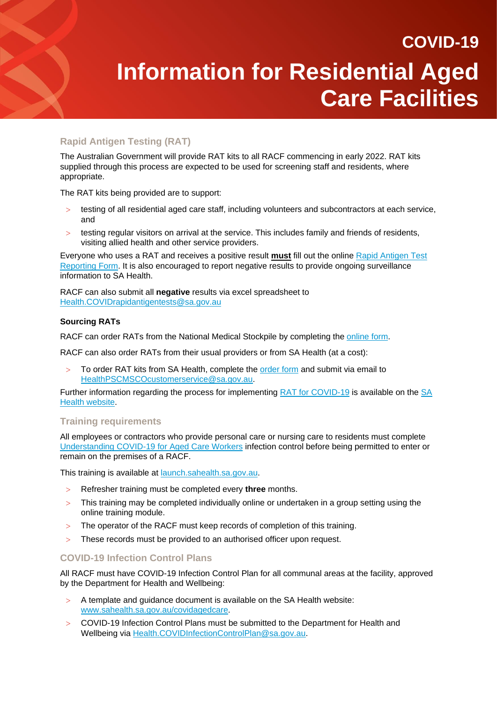### **Rapid Antigen Testing (RAT)**

The Australian Government will provide RAT kits to all RACF commencing in early 2022. RAT kits supplied through this process are expected to be used for screening staff and residents, where appropriate.

The RAT kits being provided are to support:

- testing of all residential aged care staff, including volunteers and subcontractors at each service, and
- testing regular visitors on arrival at the service. This includes family and friends of residents, visiting allied health and other service providers.

Everyone who uses a RAT and receives a positive result **must** fill out the online [Rapid Antigen Test](https://forms.sa.gov.au/#/form/61cd11cfad9c5a41ccb16e39/app/61d139df4d4331cb3cfcc8e2)  [Reporting Form.](https://forms.sa.gov.au/#/form/61cd11cfad9c5a41ccb16e39/app/61d139df4d4331cb3cfcc8e2) It is also encouraged to report negative results to provide ongoing surveillance information to SA Health.

RACF can also submit all **negative** results via excel spreadsheet to [Health.COVIDrapidantigentests@sa.gov.au](mailto:Health.COVIDrapidantigentests@sa.gov.au)

### **Sourcing RATs**

RACF can order RATs from the National Medical Stockpile by completing the [online form.](https://protect-au.mimecast.com/s/8AIzCMwvzLHO2plycwzLH3?domain=health.us10.list-manage.com)

RACF can also order RATs from their usual providers or from SA Health (at a cost):

To order RAT kits from SA Health, complete the [order form](https://www.sahealth.sa.gov.au/wps/wcm/connect/b5b38f8f-f37c-42b6-a7ea-67398fd2c218/RATs+ordering+form_Aged+care_200122_version1.pdf?MOD=AJPERES&CACHEID=ROOTWORKSPACE-b5b38f8f-f37c-42b6-a7ea-67398fd2c218-nVRUGWa) and submit via email to [HealthPSCMSCOcustomerservice@sa.gov.au.](mailto:HealthPSCMSCOcustomerservice@sa.gov.au)

Further information regarding the process for implementing [RAT for COVID-19](https://www.sahealth.sa.gov.au/wps/wcm/connect/Public+Content/SA+Health+Internet/Conditions/Infectious+diseases/COVID-19/Testing+and+tracing/Rapid+antigen+testing+RAT+for+COVID-19) is available on the [SA](https://www.sahealth.sa.gov.au/wps/wcm/connect/Public+Content/SA+Health+Internet/Conditions/Infectious+diseases/COVID-19/Testing+and+tracing/Rapid+antigen+testing+RAT+for+COVID-19)  [Health website.](https://www.sahealth.sa.gov.au/wps/wcm/connect/Public+Content/SA+Health+Internet/Conditions/Infectious+diseases/COVID-19/Testing+and+tracing/Rapid+antigen+testing+RAT+for+COVID-19)

### **Training requirements**

All employees or contractors who provide personal care or nursing care to residents must complete [Understanding COVID-19 for Aged Care Workers](https://launch.sahealth.sa.gov.au/) infection control before being permitted to enter or remain on the premises of a RACF.

This training is available at [launch.sahealth.sa.gov.au.](https://launch.sahealth.sa.gov.au/)

- Refresher training must be completed every **three** months.
- This training may be completed individually online or undertaken in a group setting using the online training module.
- The operator of the RACF must keep records of completion of this training.
- > These records must be provided to an authorised officer upon request.

### **COVID-19 Infection Control Plans**

All RACF must have COVID-19 Infection Control Plan for all communal areas at the facility, approved by the Department for Health and Wellbeing:

- $>$  A template and quidance document is available on the SA Health website: [www.sahealth.sa.gov.au/covidagedcare.](http://www.sahealth.sa.gov.au/covidagedcare)
- COVID-19 Infection Control Plans must be submitted to the Department for Health and Wellbeing via [Health.COVIDInfectionControlPlan@sa.gov.au.](mailto:Health.COVIDInfectionControlPlan@sa.gov.au)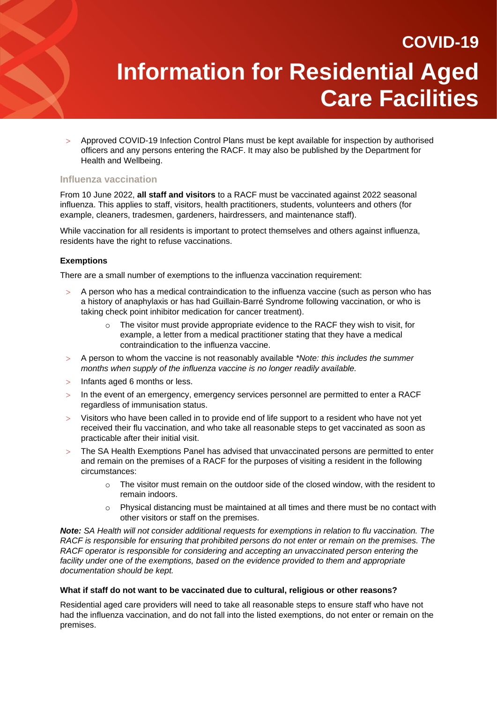Approved COVID-19 Infection Control Plans must be kept available for inspection by authorised officers and any persons entering the RACF. It may also be published by the Department for Health and Wellbeing.

### **Influenza vaccination**

From 10 June 2022, **all staff and visitors** to a RACF must be vaccinated against 2022 seasonal influenza. This applies to staff, visitors, health practitioners, students, volunteers and others (for example, cleaners, tradesmen, gardeners, hairdressers, and maintenance staff).

While vaccination for all residents is important to protect themselves and others against influenza, residents have the right to refuse vaccinations.

### **Exemptions**

There are a small number of exemptions to the influenza vaccination requirement:

- A person who has a medical contraindication to the influenza vaccine (such as person who has a history of anaphylaxis or has had Guillain-Barré Syndrome following vaccination, or who is taking check point inhibitor medication for cancer treatment).
	- $\circ$  The visitor must provide appropriate evidence to the RACF they wish to visit, for example, a letter from a medical practitioner stating that they have a medical contraindication to the influenza vaccine.
- A person to whom the vaccine is not reasonably available *\*Note: this includes the summer months when supply of the influenza vaccine is no longer readily available.*
- $>$  Infants aged 6 months or less.
- In the event of an emergency, emergency services personnel are permitted to enter a RACF regardless of immunisation status.
- $>$  Visitors who have been called in to provide end of life support to a resident who have not yet received their flu vaccination, and who take all reasonable steps to get vaccinated as soon as practicable after their initial visit.
- The SA Health Exemptions Panel has advised that unvaccinated persons are permitted to enter and remain on the premises of a RACF for the purposes of visiting a resident in the following circumstances:
	- $\circ$  The visitor must remain on the outdoor side of the closed window, with the resident to remain indoors.
	- $\circ$  Physical distancing must be maintained at all times and there must be no contact with other visitors or staff on the premises.

*Note: SA Health will not consider additional requests for exemptions in relation to flu vaccination. The RACF is responsible for ensuring that prohibited persons do not enter or remain on the premises. The RACF operator is responsible for considering and accepting an unvaccinated person entering the facility under one of the exemptions, based on the evidence provided to them and appropriate documentation should be kept.*

#### **What if staff do not want to be vaccinated due to cultural, religious or other reasons?**

Residential aged care providers will need to take all reasonable steps to ensure staff who have not had the influenza vaccination, and do not fall into the listed exemptions, do not enter or remain on the premises.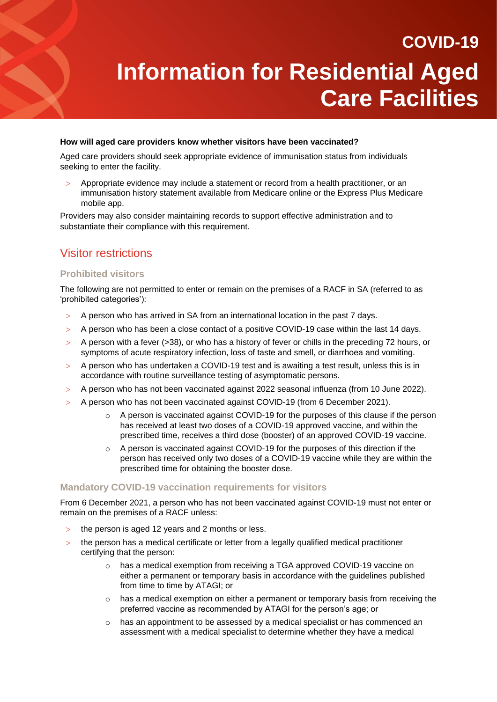#### **How will aged care providers know whether visitors have been vaccinated?**

Aged care providers should seek appropriate evidence of immunisation status from individuals seeking to enter the facility.

 Appropriate evidence may include a statement or record from a health practitioner, or an immunisation history statement available from Medicare online or the Express Plus Medicare mobile app.

Providers may also consider maintaining records to support effective administration and to substantiate their compliance with this requirement.

### Visitor restrictions

### **Prohibited visitors**

The following are not permitted to enter or remain on the premises of a RACF in SA (referred to as 'prohibited categories'):

- A person who has arrived in SA from an international location in the past 7 days.
- A person who has been a close contact of a positive COVID-19 case within the last 14 days.
- $>$  A person with a fever (>38), or who has a history of fever or chills in the preceding 72 hours, or symptoms of acute respiratory infection, loss of taste and smell, or diarrhoea and vomiting.
- A person who has undertaken a COVID-19 test and is awaiting a test result, unless this is in accordance with routine surveillance testing of asymptomatic persons.
- A person who has not been vaccinated against 2022 seasonal influenza (from 10 June 2022).
- A person who has not been vaccinated against COVID-19 (from 6 December 2021).
	- o A person is vaccinated against COVID-19 for the purposes of this clause if the person has received at least two doses of a COVID-19 approved vaccine, and within the prescribed time, receives a third dose (booster) of an approved COVID-19 vaccine.
	- o A person is vaccinated against COVID-19 for the purposes of this direction if the person has received only two doses of a COVID-19 vaccine while they are within the prescribed time for obtaining the booster dose.

#### **Mandatory COVID-19 vaccination requirements for visitors**

From 6 December 2021, a person who has not been vaccinated against COVID-19 must not enter or remain on the premises of a RACF unless:

- the person is aged 12 years and 2 months or less.
- the person has a medical certificate or letter from a legally qualified medical practitioner certifying that the person:
	- o has a medical exemption from receiving a TGA approved COVID-19 vaccine on either a permanent or temporary basis in accordance with the guidelines published from time to time by ATAGI; or
	- $\circ$  has a medical exemption on either a permanent or temporary basis from receiving the preferred vaccine as recommended by ATAGI for the person's age; or
	- $\circ$  has an appointment to be assessed by a medical specialist or has commenced an assessment with a medical specialist to determine whether they have a medical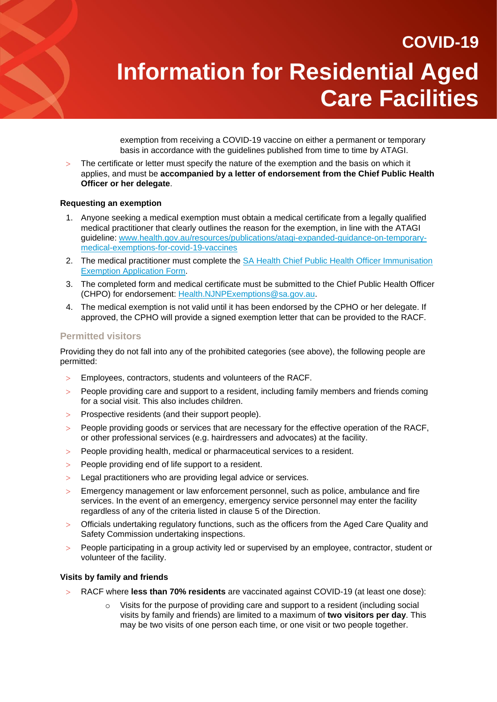exemption from receiving a COVID-19 vaccine on either a permanent or temporary basis in accordance with the guidelines published from time to time by ATAGI.

 The certificate or letter must specify the nature of the exemption and the basis on which it applies, and must be **accompanied by a letter of endorsement from the Chief Public Health Officer or her delegate**.

#### **Requesting an exemption**

- 1. Anyone seeking a medical exemption must obtain a medical certificate from a legally qualified medical practitioner that clearly outlines the reason for the exemption, in line with the ATAGI guideline: [www.health.gov.au/resources/publications/atagi-expanded-guidance-on-temporary](http://www.health.gov.au/resources/publications/atagi-expanded-guidance-on-temporary-medical-exemptions-for-covid-19-vaccines)[medical-exemptions-for-covid-19-vaccines](http://www.health.gov.au/resources/publications/atagi-expanded-guidance-on-temporary-medical-exemptions-for-covid-19-vaccines)
- 2. The medical practitioner must complete the [SA Health Chief Public Health Officer Immunisation](https://www.covid-19.sa.gov.au/__data/assets/pdf_file/0004/482143/21022.29-COVID-immunisation-exemption-application-form-V2.pdf)  [Exemption Application Form.](https://www.covid-19.sa.gov.au/__data/assets/pdf_file/0004/482143/21022.29-COVID-immunisation-exemption-application-form-V2.pdf)
- 3. The completed form and medical certificate must be submitted to the Chief Public Health Officer (CHPO) for endorsement: [Health.NJNPExemptions@sa.gov.au.](mailto:Health.NJNPExemptions@sa.gov.au)
- 4. The medical exemption is not valid until it has been endorsed by the CPHO or her delegate. If approved, the CPHO will provide a signed exemption letter that can be provided to the RACF.

#### **Permitted visitors**

Providing they do not fall into any of the prohibited categories (see above), the following people are permitted:

- Employees, contractors, students and volunteers of the RACF.
- People providing care and support to a resident, including family members and friends coming for a social visit. This also includes children.
- > Prospective residents (and their support people).
- People providing goods or services that are necessary for the effective operation of the RACF, or other professional services (e.g. hairdressers and advocates) at the facility.
- People providing health, medical or pharmaceutical services to a resident.
- > People providing end of life support to a resident.
- > Legal practitioners who are providing legal advice or services.
- Emergency management or law enforcement personnel, such as police, ambulance and fire services. In the event of an emergency, emergency service personnel may enter the facility regardless of any of the criteria listed in clause 5 of the Direction.
- Officials undertaking regulatory functions, such as the officers from the Aged Care Quality and Safety Commission undertaking inspections.
- People participating in a group activity led or supervised by an employee, contractor, student or volunteer of the facility.

#### **Visits by family and friends**

- RACF where **less than 70% residents** are vaccinated against COVID-19 (at least one dose):
	- Visits for the purpose of providing care and support to a resident (including social visits by family and friends) are limited to a maximum of **two visitors per day**. This may be two visits of one person each time, or one visit or two people together.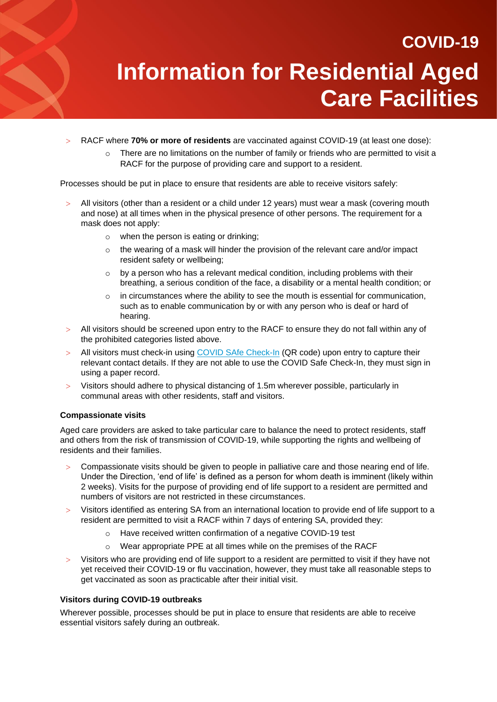- RACF where **70% or more of residents** are vaccinated against COVID-19 (at least one dose):
	- $\circ$  There are no limitations on the number of family or friends who are permitted to visit a RACF for the purpose of providing care and support to a resident.

Processes should be put in place to ensure that residents are able to receive visitors safely:

- All visitors (other than a resident or a child under 12 years) must wear a mask (covering mouth and nose) at all times when in the physical presence of other persons. The requirement for a mask does not apply:
	- o when the person is eating or drinking;
	- $\circ$  the wearing of a mask will hinder the provision of the relevant care and/or impact resident safety or wellbeing;
	- $\circ$  by a person who has a relevant medical condition, including problems with their breathing, a serious condition of the face, a disability or a mental health condition; or
	- o in circumstances where the ability to see the mouth is essential for communication, such as to enable communication by or with any person who is deaf or hard of hearing.
- All visitors should be screened upon entry to the RACF to ensure they do not fall within any of the prohibited categories listed above.
- All visitors must check-in using [COVID SAfe Check-In](https://www.covid-19.sa.gov.au/restrictions-and-responsibilities/covid-safe-check-in) (QR code) upon entry to capture their relevant contact details. If they are not able to use the COVID Safe Check-In, they must sign in using a paper record.
- Visitors should adhere to physical distancing of 1.5m wherever possible, particularly in communal areas with other residents, staff and visitors.

#### **Compassionate visits**

Aged care providers are asked to take particular care to balance the need to protect residents, staff and others from the risk of transmission of COVID-19, while supporting the rights and wellbeing of residents and their families.

- Compassionate visits should be given to people in palliative care and those nearing end of life. Under the Direction, 'end of life' is defined as a person for whom death is imminent (likely within 2 weeks). Visits for the purpose of providing end of life support to a resident are permitted and numbers of visitors are not restricted in these circumstances.
- Visitors identified as entering SA from an international location to provide end of life support to a resident are permitted to visit a RACF within 7 days of entering SA, provided they:
	- Have received written confirmation of a negative COVID-19 test
	- o Wear appropriate PPE at all times while on the premises of the RACF
- Visitors who are providing end of life support to a resident are permitted to visit if they have not yet received their COVID-19 or flu vaccination, however, they must take all reasonable steps to get vaccinated as soon as practicable after their initial visit.

#### **Visitors during COVID-19 outbreaks**

Wherever possible, processes should be put in place to ensure that residents are able to receive essential visitors safely during an outbreak.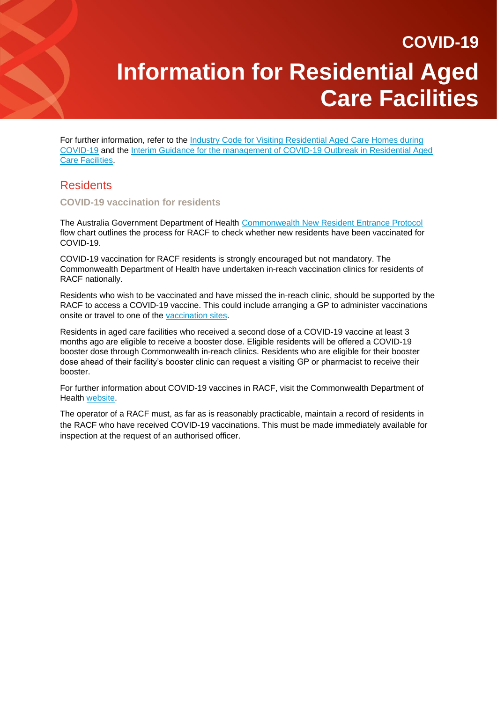For further information, refer to the [Industry Code for Visiting Residential Aged Care Homes during](https://www.cota.org.au/policy/aged-care-reform/agedcarevisitors/)  [COVID-19](https://www.cota.org.au/policy/aged-care-reform/agedcarevisitors/) and the [Interim Guidance for the management of COVID-19 Outbreak in Residential Aged](https://www.sahealth.sa.gov.au/wps/wcm/connect/eb833a9a-8fff-4ce2-a480-03ffb3425715/20220120+Residential+Aged+Care+Facilities+Plan+January+22.pdf?MOD=AJPERES&CACHEID=ROOTWORKSPACE-eb833a9a-8fff-4ce2-a480-03ffb3425715-nVS6UTm)  [Care Facilities.](https://www.sahealth.sa.gov.au/wps/wcm/connect/eb833a9a-8fff-4ce2-a480-03ffb3425715/20220120+Residential+Aged+Care+Facilities+Plan+January+22.pdf?MOD=AJPERES&CACHEID=ROOTWORKSPACE-eb833a9a-8fff-4ce2-a480-03ffb3425715-nVS6UTm)

### **Residents**

#### **COVID-19 vaccination for residents**

The Australia Government Department of Health [Commonwealth New Resident Entrance Protocol](https://www.health.gov.au/sites/default/files/documents/2021/07/covid-19-vaccination-new-resident-entrance-protocol-flow-chart-covid-19-vaccination-new-resident-entrance-protocol-flowchart.pdf) flow chart outlines the process for RACF to check whether new residents have been vaccinated for COVID-19.

COVID-19 vaccination for RACF residents is strongly encouraged but not mandatory. The Commonwealth Department of Health have undertaken in-reach vaccination clinics for residents of RACF nationally.

Residents who wish to be vaccinated and have missed the in-reach clinic, should be supported by the RACF to access a COVID-19 vaccine. This could include arranging a GP to administer vaccinations onsite or travel to one of the [vaccination sites.](https://www.sahealth.sa.gov.au/wps/wcm/connect/public+content/sa+health+internet/conditions/infectious+diseases/covid-19/vaccine/getting+vaccinated/vaccination+hubs)

Residents in aged care facilities who received a second dose of a COVID-19 vaccine at least 3 months ago are eligible to receive a booster dose. Eligible residents will be offered a COVID-19 booster dose through Commonwealth in-reach clinics. Residents who are eligible for their booster dose ahead of their facility's booster clinic can request a visiting GP or pharmacist to receive their booster.

For further information about COVID-19 vaccines in RACF, visit the Commonwealth Department of Health [website.](https://www.health.gov.au/initiatives-and-programs/covid-19-vaccines/information-for-aged-care-providers-workers-and-residents-about-covid-19-vaccines)

The operator of a RACF must, as far as is reasonably practicable, maintain a record of residents in the RACF who have received COVID-19 vaccinations. This must be made immediately available for inspection at the request of an authorised officer.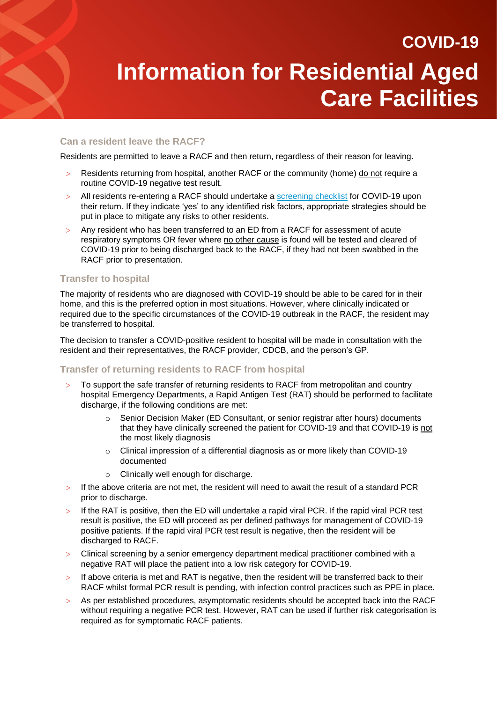### **Can a resident leave the RACF?**

Residents are permitted to leave a RACF and then return, regardless of their reason for leaving.

- Residents returning from hospital, another RACF or the community (home) do not require a routine COVID-19 negative test result.
- All residents re-entering a RACF should undertake [a screening checklist](https://www.sahealth.sa.gov.au/wps/wcm/connect/79807de0-412c-469a-9e3f-d3d182b9ebab/20200521%2B-%2BCOVID-19%2BScreening%2BChecklist%2Bfor%2BResidential%2BAged%2BCare%2BFacili.._%2B%25284%2529.pdf?MOD=AJPERES&amp%3BCACHEID=ROOTWORKSPACE-79807de0-412c-469a-9e3f-d3d182b9ebab-n8WzgTl) for COVID-19 upon their return. If they indicate 'yes' to any identified risk factors, appropriate strategies should be put in place to mitigate any risks to other residents.
- Any resident who has been transferred to an ED from a RACF for assessment of acute respiratory symptoms OR fever where no other cause is found will be tested and cleared of COVID-19 prior to being discharged back to the RACF, if they had not been swabbed in the RACF prior to presentation.

### **Transfer to hospital**

The majority of residents who are diagnosed with COVID-19 should be able to be cared for in their home, and this is the preferred option in most situations. However, where clinically indicated or required due to the specific circumstances of the COVID-19 outbreak in the RACF, the resident may be transferred to hospital.

The decision to transfer a COVID-positive resident to hospital will be made in consultation with the resident and their representatives, the RACF provider, CDCB, and the person's GP.

### **Transfer of returning residents to RACF from hospital**

- To support the safe transfer of returning residents to RACF from metropolitan and country hospital Emergency Departments, a Rapid Antigen Test (RAT) should be performed to facilitate discharge, if the following conditions are met:
	- $\circ$  Senior Decision Maker (ED Consultant, or senior registrar after hours) documents that they have clinically screened the patient for COVID-19 and that COVID-19 is not the most likely diagnosis
	- o Clinical impression of a differential diagnosis as or more likely than COVID-19 documented
	- o Clinically well enough for discharge.
- $>$  If the above criteria are not met, the resident will need to await the result of a standard PCR prior to discharge.
- $>$  If the RAT is positive, then the ED will undertake a rapid viral PCR. If the rapid viral PCR test result is positive, the ED will proceed as per defined pathways for management of COVID-19 positive patients. If the rapid viral PCR test result is negative, then the resident will be discharged to RACF.
- Clinical screening by a senior emergency department medical practitioner combined with a negative RAT will place the patient into a low risk category for COVID-19.
- If above criteria is met and RAT is negative, then the resident will be transferred back to their RACF whilst formal PCR result is pending, with infection control practices such as PPE in place.
- $>$  As per established procedures, asymptomatic residents should be accepted back into the RACF without requiring a negative PCR test. However, RAT can be used if further risk categorisation is required as for symptomatic RACF patients.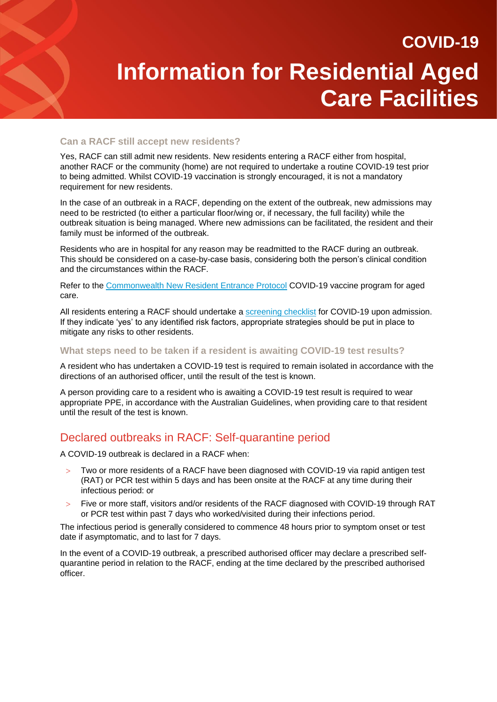### **Can a RACF still accept new residents?**

Yes, RACF can still admit new residents. New residents entering a RACF either from hospital, another RACF or the community (home) are not required to undertake a routine COVID-19 test prior to being admitted. Whilst COVID-19 vaccination is strongly encouraged, it is not a mandatory requirement for new residents.

In the case of an outbreak in a RACF, depending on the extent of the outbreak, new admissions may need to be restricted (to either a particular floor/wing or, if necessary, the full facility) while the outbreak situation is being managed. Where new admissions can be facilitated, the resident and their family must be informed of the outbreak.

Residents who are in hospital for any reason may be readmitted to the RACF during an outbreak. This should be considered on a case-by-case basis, considering both the person's clinical condition and the circumstances within the RACF.

Refer to the [Commonwealth New Resident Entrance Protocol](https://www.health.gov.au/sites/default/files/documents/2021/07/covid-19-vaccination-new-resident-entrance-protocol-flow-chart-covid-19-vaccination-new-resident-entrance-protocol-flowchart.pdf) COVID-19 vaccine program for aged care.

All residents entering a RACF should undertake a [screening checklist](https://www.sahealth.sa.gov.au/wps/wcm/connect/79807de0-412c-469a-9e3f-d3d182b9ebab/20200521%2B-%2BCOVID-19%2BScreening%2BChecklist%2Bfor%2BResidential%2BAged%2BCare%2BFacili.._%2B%25284%2529.pdf?MOD=AJPERES&amp%3BCACHEID=ROOTWORKSPACE-79807de0-412c-469a-9e3f-d3d182b9ebab-n8WzgTl) for COVID-19 upon admission. If they indicate 'yes' to any identified risk factors, appropriate strategies should be put in place to mitigate any risks to other residents.

#### **What steps need to be taken if a resident is awaiting COVID-19 test results?**

A resident who has undertaken a COVID-19 test is required to remain isolated in accordance with the directions of an authorised officer, until the result of the test is known.

A person providing care to a resident who is awaiting a COVID-19 test result is required to wear appropriate PPE, in accordance with the Australian Guidelines, when providing care to that resident until the result of the test is known.

### Declared outbreaks in RACF: Self-quarantine period

A COVID-19 outbreak is declared in a RACF when:

- Two or more residents of a RACF have been diagnosed with COVID-19 via rapid antigen test (RAT) or PCR test within 5 days and has been onsite at the RACF at any time during their infectious period: or
- Five or more staff, visitors and/or residents of the RACF diagnosed with COVID-19 through RAT or PCR test within past 7 days who worked/visited during their infections period.

The infectious period is generally considered to commence 48 hours prior to symptom onset or test date if asymptomatic, and to last for 7 days.

In the event of a COVID-19 outbreak, a prescribed authorised officer may declare a prescribed selfquarantine period in relation to the RACF, ending at the time declared by the prescribed authorised officer.